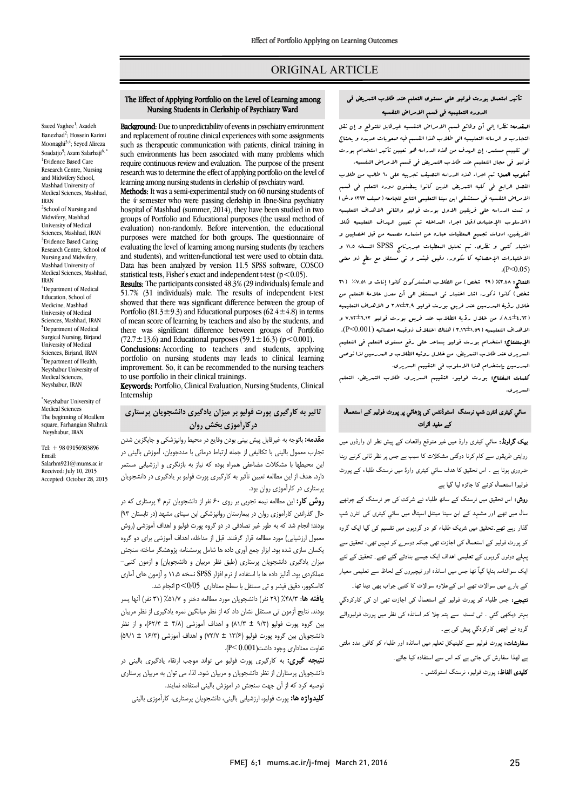# ORIGINAL ARTICLE

# تأثیر استعمال بورت فولیو علی مستوي التعلم عند طلاب التمریض فی الدوره التعلیمیه فی قسم الامراض النفسیه

Ī 

ا**لمقدمه:** نظرا إلى أن وقائع قسم الامراض النفسیه غیرقابل للتوقع و إن نقل<br>. الدیدوب و ترتیب مستعید می شوند من هذه العظیم می تعیین مستعد و پستان<br>الی تقییم مستعر، إن الهدف من هذه الدراسه هو تعیین تأثیر استخدام بورت فولیو فی مجال التعلیم عند طلاب التمریض فی قسم الامراض النفسیه. التجارب و الرساله التعلیمیه الی طلاب هذا القسم فیه صعوبات عدیده و یحتاج

 أسلوب العمل: تم اجراء هذه الدراسه النصیف تجربیه علی 60 طالب من طلاب الفصل الرابع فی کلیه التمریض الذین کانوا یمضنون دوره التعلم فی قسم الامراض النفسیه فی مستشفی ابن سینا التعلیمی التابع للجامعه (صیف 1393 ه.ش) و تمت الدراسه علی فریقین الاول بورت فولیو والثانی الاهداف التعلیمیه<br>الله مسئلات الله علی التحادث التحادث و التحادث التحادث التحادث الفریقین. ادوات تجمیع المعطیات عباره مسلم استره عن استماره مسلمات است.<br>الفریقین. ادوات تجمیع المعطیات عباره عن استماره مصممه من قبل اخصایین و اختبار کتبی و نظري. تم تحلیل المعطیات عبربرنامج SPSS النسخه 11,5 و الاختبارات الإحصائیه کا سکوور، دقیق فیشر و تی مستقل مع سطح ذو معنی (الاسلوب الإعتیادي).قبل اجراء المداخله تم تعیین الهداف التعلیمیه لکلا  $(P<0.05)$ 

 النتائج: %3,48 (29 شخص) من الطلاب المشترکون کانوا إناث و %7,51 (31 خصی ) - نابور از نورت امام اهتبار الی المستقل الی -ان المدل علامه التعلیم من<br>خلال رؤیة البدرسین عند فریق بورت فولیو ۹,۹1±3,۹ و الاهداف التعلیمیه (8,4±4,62)، من خلال رؤیۀ الطلاب عند فریق بورت فولیو 7,72±6,13 و الاهداف التعلیمیه (3,16±1,59) هناك اختلاف ذوقیمه احصائیه (0.001>P(. الإستنتاج: استخدام بورت فولیو یساعد علی رفع مستوي التعلم فی التعلیم السریري عند طلاب التمریض، من خلال روئیه الطلاب و المدرسین لذا نوصی المدرسین بإستخدام هذا الاسلوب فی التقییم السریري. شخص) کانوا ذکور. اشار اختبار تی المستقل الی أن معدل علامۀ التعلم من

**للعات العفتاح:** بورت فولیو، التقییم السریری، طلاب التعریض، التعلم<br>. السریري.

## سائي کيثری انٹرن شپ نرسنگ اسٹوڈنٹس کی پڑھائي پر پورٹ فولیو کے استعمال کے مفید اثرات

**یک گراونڈ:** سائی کیٹری وارڈ میں غیر متوقع واقعات کے پیش نظر ان وارڈوں میں روایتی طریقوں سے کام کرنا دوگنی مشکلات کا سبب ہے جس پر نظر ثانی کرتے رہنا ۔<br>ضروری ہوتا ہے ۔ اس تحقیق کا ہدف سائی کیٹری وارڈ میں نرسنگ طلباء کے پورٹ ۔<br>فولیوا استعمال کرنے کا جائزہ لیا گیا ہے

ر**وش:** اس تحقیق میں نرسنگ کے سا*ٹ*ھ طلباء نے شرکت کی جو نرسنگ کے چوتھے ۔<br>سال میں تھے اور مشہد کے ابن سینا مینٹل اسپتال میں سائی کیٹری کی انٹرن شپ ۔<br>گذار رہے تھے تحقیق میں شریک طلباء کو دو گروہوں میں تقسیم کی گیا ایک گروہ ۔<br>کو پورٹ فولیو کے استعمال کی اجازت تھی جبکہ دوسرے کو نہیں تھی، تحقیق سے دوں وں ااف ا د ۔ م سے مستعمل ہو گئے۔<br>ایک سوالنامہ بنایا گیآ تھا جس میں اساتذہ اور ٹیچیروں کے لحاظ سے تعلیمی معیار رے ات اس وہ ات اب د ۔ : ء رٹ ال ازت ان رد Í بہتر دیکھی گئی ۔ ٹی ٹسٹ سے پتہ چلا کہ اساتذہ کی نظر میں پورٹ فولیووالے ۔<br>۔ گروہ نے اچھی کارکردگی پیش کی ہے۔

ںروں سے <sub>''</sub>چھی تارٹر سی پیس سی ہے۔<br>**سفارشات:** پورٹ فولیو سے کلینیکل تعلیم میں اساتذہ اور طلباء کو کافی مدد ملتی ر<br>. ے لھذا سفارش کی جاتی ہے کہ اس سے استفادہ کیا جائے۔<br>۔ **کلیدی الفاظ:** پورٹ فولیو، نرسنگ اسٹوڈنٹس ۔<br>۔

# The Effect of Applying Portfolio on the Level of Learning among<br>Number Students in Clarkship of Brushipton Word Nursing Students in Clerkship of Psychiatry Ward

Ī 

**Background:** Due to unpredictability of events in psychiatry environment<br>and replacement of routine clinical experiences with some assignments such as therapeutic communication with patients, clinical training in such environments has been associated with many problems which<br>require continuous review and evaluation. The purpose of the present research was to determine the effect of applying portfolio on the level of Background: Due to unpredictability of events in psychiatry environment such environments has been associated with many problems which learning among nursing students in clerkship of psychiatry ward.

rearning among nursing students in cientship or psychiatry ward.<br>**Methods:** It was a semi-experimental study on 60 nursing students of the 4 semester who were passing clerkship in Ibne-Sina psychiatry nosphar of mashmad (summer, 2014), they have been studied in two<br>groups of Portfolio and Educational purposes (the usual method of evaluation) non-randomly. Before intervention, the educational purposes were matched for bour groups. The questionnance of evaluating the level of learning among nursing students (by teachers and students), and written-functional test were used to obtain data. statistical tests, Fisher's exact and independent t-test (p<0.05). hospital of Mashhad (summer, 2014), they have been studied in two purposes were matched for both groups. The questionnaire of Data has been analyzed by version 11.5 SPSS software, COSCO

 Results: The participants consisted 48.3% (29 individuals) female and showed that there was significant difference between the group of Portfolio (81.3±9.3) and Educational purposes (62.4±4.8) in terms there was significant difference between groups of Portfolio (72.7±13.6) and Educational purposes (59.1±16.3) (p < 0.001). 51.7% (31 individuals) male. The results of independent t-test of mean score of learning by teachers and also by the students, and

portfolio on nursing students may leads to clinical learning improvement. So, it can be recommended to the nursing teachers Conclusions: According to teachers and students, applying to use portfolio in their clinical trainings.

 Keywords: Portfolio, Clinical Evaluation, Nursing Students, Clinical Internship

# **تاثیر به کارگیري پورت فولیو بر میزان یادگیري دانشجویان پرستاري درکارآموزي بخش روان**

 **مقدمه:** باتوجه به غیرقابل پیش بینی بودن وقایع در محیط روانپزشکی و جایگزین شدن تجارب معمول بالینی با تکالیفی از جمله ارتباط درمانی با مددجویان، آموزش بالینی در این محیطها با مشکلات مضاعفی همراه بوده که نیاز به بازنگري و ارزشیابی مستمر دارد. هدف از این مطالعه تعیین تأثیر به کارگیری پورت فولیو بر یادگیری در دانشجویان<br>میده پرستاري در کارآموزي روان بود.

پرستاری در فارسوری روان بود.<br>**روش کار:** این مطالعه نیمه تجربی بر روی ۶۰ نفر از دانشجویان ترم ۴ پرستاری که در حال گذراندن کارآموزي روان در بیمارستان روانپزشکی ابن سیناي مشهد (در تابستان 93) بودند؛ انجام شد که به طور غیر تصادفی در دو گروه پورت فولیو و اهداف آموزشی (روش معمول ارزشیابی) مورد مطالعه قرار گرفتند. قبل از مداخله، اهداف آموزشی براي دو گروه یکسان سازي شده بود. ابزار جمع آوري داده ها شامل پرسشنامه پژوهشگر ساخته سنجش میزان یادگیري دانشجویان پرستاري (طبق نظر مربیان و دانشجویان) و آزمون کتبی- عمددردی بود. انابیر داده ها با استفاده از نرم افزار 51 تاب سخه ۱۱٫۵ و ارمور<br>کااسکوور، دقیق فیشر و تی مستقل با سطح معناداری p<0/05 انجام شد. عملکردي بود. آنالیز داده ها با استفاده از نرم افزار SPSS نسخه 11,5 و آزمون هاي آماري

 **یافته ها**: %48/3 (29 نفر) دانشجویان مورد مطالعه دختر و %51/7 (31 نفر) آنها پسر بودند. نتایج آزمون تی مستقل نشان داد که از نظر میانگین نمره یادگیري از نظر مربیان بین گروه پورت فولیو (9/3 ± 81/3) و اهداف آموزشی (4/8 ± 62/4)، و از نظر دانشجویان بین گروه پورت فولیو (13/6 ± 72/7) و اهداف آموزشی (16/3 ± 59/1) تفاوت معناداري وجود داشت(0.001 >P(.

 **نتیجه گیري:** به کارگیري پورت فولیو می تواند موجب ارتقاء یادگیري بالینی در دانشجویان پرستاران از نظر دانشجویان و مربیان شود. لذا، می توان به مربیان پرستاري توصیه کرد که از آن جهت سنجش در اموزش بالینی استفاده نمایند.<br>مدرسیه بودند **کلیدواژه ها:** پورت فولیو، ارزشیابی بالینی، دانشجویان پرستاري، کارآموزي بالینی

Saeed Vaghee<sup>1</sup>; Azadeh Banezhad<sup>2</sup>; Hossein Karimi Moonaghi<sup>3,4</sup>; Seyed Alireza Soadatjo<sup>5</sup>; Azam Salarhaji<sup>6, \*</sup> 1 Evidence Based Care Research Centre, Nursing and Midwifery School, Mashhad University of Medical Sciences, Mashhad, IRAN <sup>2</sup>School of Nursing and Midwifery, Mashhad University of Medical Sciences, Mashhad, IRAN <sup>3</sup>Evidence Based Caring Research Centre, School of Nursing and Midwifery,

IRAN <sup>4</sup>Department of Medical Education, School of Medicine, Mashhad University of Medical Sciences, Mashhad, IRAN 5 Department of Medical Surgical Nursing, Birjand University of Medical Sciences, Birjand, IRAN <sup>6</sup>Department of Health, Neyshabur University of Medical Sciences, Neyshabur, IRAN

Mashhad University of Medical Sciences, Mashhad,

\* Neyshabur University of Medical Sciences The beginning of Moallem square, Farhangian Shahrak Neyshabur, IRAN

Tel: + 98 09156983896 Email: Salarhm921@mums.ac.ir Received: July 10, 2015 Accepted: October 28, 2015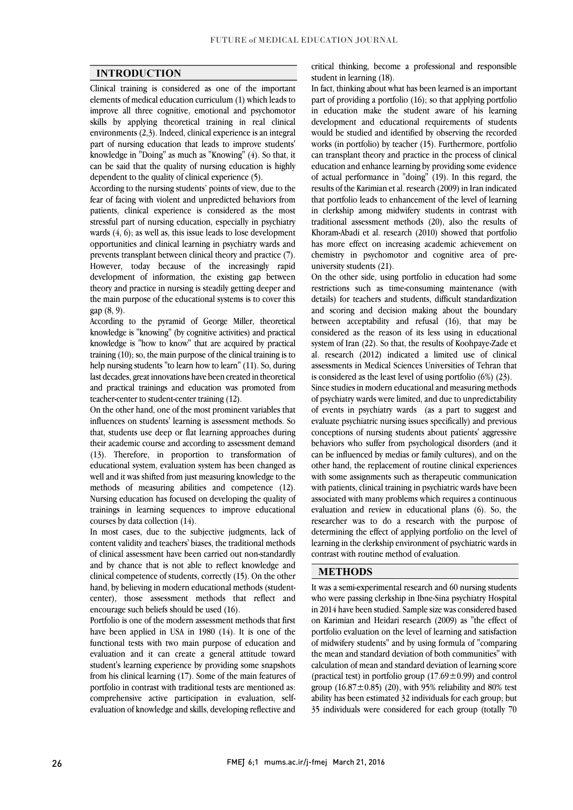$\overline{a}$  $\overline{a}$ 

## **INTRODUCTION**

 Clinical training is considered as one of the important elements of medical education curriculum (1) which leads to skills by applying theoretical training in real clinical environments (2,3). Indeed, clinical experience is an integral part of nursing education that leads to improve students' knowledge in "Doing" as much as "Knowing" (4). So that, it can be said that the quality of nursing education is highly<br>dependent to the quality of clinical experience  $(5)$ improve all three cognitive, emotional and psychomotor dependent to the quality of clinical experience (5).

 According to the nursing students' points of view, due to the fear of facing with violent and unpredicted behaviors from patients, clinical experience is considered as the most wards (4, 6); as well as, this issue leads to lose development opportunities and clinical learning in psychiatry wards and prevents transplant between clinical theory and practice (7). However, today because of the increasingly rapid theory and practice in nursing is steadily getting deeper and the main purpose of the educational systems is to cover this stressful part of nursing education, especially in psychiatry development of information, the existing gap between gap (8, 9).

 knowledge is "knowing" (by cognitive activities) and practical knowledge is "how to know" that are acquired by practical training (10); so, the main purpose of the clinical training is to help nursing students "to learn how to learn" (11). So, during and practical trainings and education was promoted from According to the pyramid of George Miller, theoretical last decades, great innovations have been created in theoretical teacher-center to student-center training (12).

 On the other hand, one of the most prominent variables that influences on students' learning is assessment methods. So their academic course and according to assessment demand (13). Therefore, in proportion to transformation of educational system, evaluation system has been changed as well and it was shifted from just measuring knowledge to the Nursing education has focused on developing the quality of trainings in learning sequences to improve educational that, students use deep or flat learning approaches during methods of measuring abilities and competence (12). courses by data collection (14).

In most cases, due to the subjective judgments, fack of content validity and teachers' biases, the traditional methods of clinical assessment have been carried out non-standardly and by chance that is not able to reflect knowledge and clinical competence of students, correctly (15). On the other center), those assessment methods that reflect and In most cases, due to the subjective judgments, lack of hand, by believing in modern educational methods (studentencourage such beliefs should be used (16).

 Portfolio is one of the modern assessment methods that first have been applied in USA in 1980 (14). It is one of the evaluation and it can create a general attitude toward student's learning experience by providing some snapshots from his clinical learning (17). Some of the main features of portfolio in contrast with traditional tests are mentioned as: evaluation of knowledge and skills, developing reflective and functional tests with two main purpose of education and comprehensive active participation in evaluation, selfcritical thinking, become a professional and responsible student in learning (18).

 In fact, thinking about what has been learned is an important part of providing a portfolio (16); so that applying portfolio development and educational requirements of students would be studied and identified by observing the recorded works (in portfolio) by teacher (15). Furthermore, portfolio can transplant theory and practice in the process of clinical of actual performance in "doing" (19). In this regard, the results of the Karimian et al. research (2009) in Iran indicated that portfolio leads to enhancement of the level of learning traditional assessment methods (20), also the results of Khoram-Abadi et al. research  $(2010)$  showed that portfolio has more effect on increasing academic achievement on chemistry in psychomotor and cognitive area of prein education make the student aware of his learning education and enhance learning by providing some evidence in clerkship among midwifery students in contrast with university students (21).

On the other side, using portfolio in education had some restrictions such as time-consuming maintenance (with details) for teachers and students, difficult standardization and scoring and decision making about the boundary considered as the reason of its less using in educational system of Iran (22). So that, the results of Koohpaye-Zade et al. research (2012) indicated a limited use of clinical assessments in Medical Sciences Universities of Tehran that between acceptability and refusal (16), that may be is considered as the least level of using portfolio (6%) (23).

Since studies in modern educational and measuring methods of psychiatry wards were limited, and due to unpredictability of events in psychiatry wards (as a part to suggest and evaluate psychiatric nursing issues specifically) and previous behaviors who suffer from psychological disorders (and it can be influenced by medias or family cultures), and on the other hand, the replacement of routine clinical experiences with some assignments such as therapeutic communication<br>with patients, clinical training in psychiatric wards have been associated with many problems which requires a continuous evaluation and review in educational plans (6). So, the researcher was to do a research with the purpose of decentring the clerkship environment of psychiatric wards in learning in the clerkship environment of psychiatric wards in conceptions of nursing students about patients' aggressive with some assignments such as therapeutic communication determining the effect of applying portfolio on the level of contrast with routine method of evaluation.

## **METHODS**

It was a semi-experimental research and 60 nursing students who were passing clerkship in Ibne-Sina psychiatry Hospital in 2014 have been studied. Sample size was considered based on Karimian and Heidari research (2009) as "the effect of portfolio evaluation on the level of learning and satisfaction the mean and standard deviation of both communities" with calculation of mean and standard deviation of learning score (practical test) in portfolio group  $(17.69 \pm 0.99)$  and control group  $(16.87 \pm 0.85)$   $(20)$ , with 95% reliability and 80% test 35 individuals were considered for each group (totally 70 of midwifery students" and by using formula of "comparing ability has been estimated 32 individuals for each group; but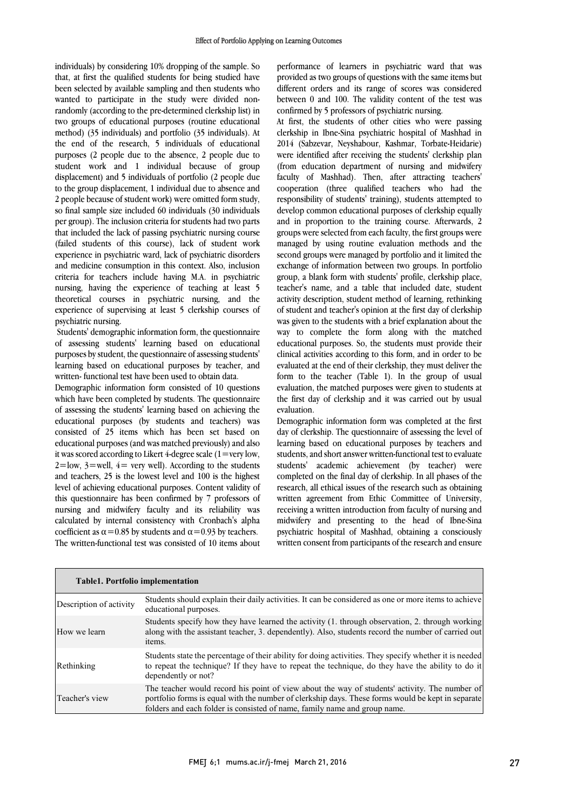individuals) by considering 10% dropping of the sample. So that, at first the qualified students for being studied have been selected by available sampling and then students who wanted to participate in the study were divided non- two groups of educational purposes (routine educational method) (35 individuals) and portfolio (35 individuals). At the end of the research, 5 individuals of educational purposes (2 people due to the absence, 2 people due to<br>student work and 1 individual because of group displacement) and 5 individuals of portfolio (2 people due to the group displacement, 1 individual due to absence and 2 people because of student work) were omitted form study, so imal sample size included ou multiduals (50 multiduals<br>per group). The inclusion criteria for students had two parts that included the lack of passing psychiatric nursing course (failed students of this course), lack of student work experience in psychiatric ward, lack of psychiatric disorders criteria for teachers include having M.A. in psychiatric nursing, having the experience of teaching at least  $\frac{1}{2}$  theoretical courses in psychiatric nursing, and the experience of supervising at least 5 clerkship courses of randomly (according to the pre-determined clerkship list) in purposes (2 people due to the absence, 2 people due to so final sample size included 60 individuals (30 individuals and medicine consumption in this context. Also, inclusion psychiatric nursing.

 Students' demographic information form, the questionnaire of assessing students' learning based on educational purposes by student, the questionnaire of assessing students' learning based on educational purposes by teacher, and written- functional test have been used to obtain data.

 Demographic information form consisted of 10 questions which have been completed by students. The questionnaire of assessing the students' learning based on achieving the educational purposes (by students and teachers) was educational purposes (and was matched previously) and also it was scored according to Likert 4-degree scale  $(1=$ very low,  $2 =$ low,  $3 =$ well,  $4 =$  very well). According to the students and teachers, 25 is the lowest level and 100 is the highest<br>level of achieving a discrimed www.com Contact which of this questionnaire has been confirmed by 7 professors of nursing and midwifery faculty and its reliability was calculated by internal consistency with Cronbach's alpha  $\alpha$  coemergin as  $\alpha$  = 0.85 by students and  $\alpha$  = 0.95 by teachers.<br>The written-functional test was consisted of 10 items about consisted of 25 items which has been set based on level of achieving educational purposes. Content validity of coefficient as  $\alpha$  = 0.85 by students and  $\alpha$  = 0.93 by teachers.

 performance of learners in psychiatric ward that was provided as two groups of questions with the same items but different orders and its range of scores was considered between 0 and 100. The validity content of the test was confirmed by 5 professors of psychiatric nursing.

 At first, the students of other cities who were passing 2014 (Sabzevar, Neyshabour, Kashmar, Torbate-Heidarie) were identified after receiving the students cleriship plant<br>(from education department of nursing and midwifery) faculty of Mashhad). Then, after attracting teachers' cooperation (three qualified teachers who had the responsibility of students' training), students attempted to and in proportion to the training course. Afterwards, 2 groups were selected from each faculty, the first groups were managed by using routine evaluation methods and the second groups were managed by portfolio and it limited the group, a blank form with students' profile, clerkship place, teacher's name, and a table that included date, student activity description, student method of learning, rethinking of student and teacher's opinion at the first day of clerkship way to complete the form along with the matched educational purposes. So, the students must provide their clinical activities according to this form, and in order to be evaluated at the end of their clerkship, they must deliver the<br>form to the teacher (Table 1). In the group of usual  $\frac{1}{2}$  evaluation, the matched purposes were given to students at the first day of clerkship and it was carried out by usual clerkship in Ibne-Sina psychiatric hospital of Mashhad in were identified after receiving the students' clerkship plan develop common educational purposes of clerkship equally exchange of information between two groups. In portfolio was given to the students with a brief explanation about the evaluated at the end of their clerkship, they must deliver the evaluation.

 day of clerkship. The questionnaire of assessing the level of learning based on educational purposes by teachers and students, and short answer written-functional test to evaluate students' academic achievement (by teacher) were research, all ethical issues of the research such as obtaining written agreement from Ethic Committee of University, receiving a written introduction from faculty of nursing and midwifery and presenting to the head of Ibne-Sina psychiatric hospital of masiliad, obtaining a consciously<br>written consent from participants of the research and ensure Demographic information form was completed at the first completed on the final day of clerkship. In all phases of the psychiatric hospital of Mashhad, obtaining a consciously

| <b>Table1. Portfolio implementation</b> |                                                                                                                                                                                                                                                                                 |  |  |  |
|-----------------------------------------|---------------------------------------------------------------------------------------------------------------------------------------------------------------------------------------------------------------------------------------------------------------------------------|--|--|--|
| Description of activity                 | Students should explain their daily activities. It can be considered as one or more items to achieve<br>educational purposes.                                                                                                                                                   |  |  |  |
| How we learn                            | Students specify how they have learned the activity (1, through observation, 2, through working<br>along with the assistant teacher, 3. dependently). Also, students record the number of carried out<br>items.                                                                 |  |  |  |
| Rethinking                              | Students state the percentage of their ability for doing activities. They specify whether it is needed<br>to repeat the technique? If they have to repeat the technique, do they have the ability to do it<br>dependently or not?                                               |  |  |  |
| Teacher's view                          | The teacher would record his point of view about the way of students' activity. The number of<br>portfolio forms is equal with the number of clerkship days. These forms would be kept in separate<br>folders and each folder is consisted of name, family name and group name. |  |  |  |

L

L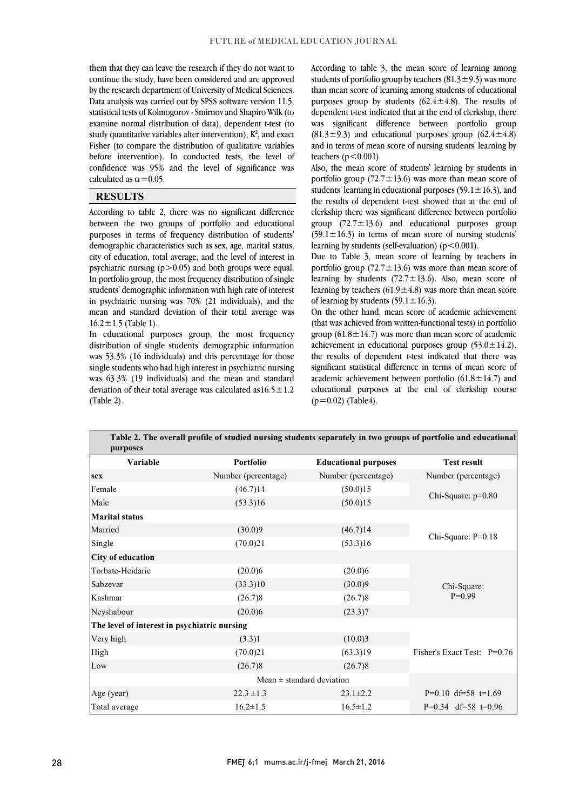them that they can leave the research if they do not want to continue the study, have been considered and are approved by the research department of University of Medical Sciences. Data analysis was carried out by SPSS software version 11.5, statistical tests of Kolmogorov - Smirnov and Shapiro Wilk (to study quantitative variables after intervention),  $K^2$ , and exact Fisher (to compare the distribution of qualitative variables before intervention). In conducted tests, the level of confidence was  $95\%$  and the level of significance was l examine normal distribution of data), dependent t-test (to calculated as  $\alpha$  = 0.05.

#### **RESULTS**

 According to table 2, there was no significant difference purposes in terms of frequency distribution of students' demographic characteristics such as sex, age, marital status, city of education, total average, and the level of interest in psychiatric nursing  $(p>0.05)$  and both groups were equal. students' demographic information with high rate of interest in psychiatric nursing was 70% (21 individuals), and the mean and standard deviation of their total average was between the two groups of portfolio and educational In portfolio group, the most frequency distribution of single  $16.2 \pm 1.5$  (Table 1).

 In educational purposes group, the most frequency distribution of single students' demographic information was 53.3% (16 individuals) and this percentage for those single students who had high interest in psychiatric nursing was 63.3% (19 individuals) and the mean and standard deviation of their total average was calculated as16.5 $\pm$ 1.2<br>(Table 2) (Table 2).

 According to table 3, the mean score of learning among students of portfolio group by teachers  $(81.3\pm9.3)$  was more than mean score of learning among students of educational purposes group by students  $(62.4 \pm 4.8)$ . The results of dependent t-test indicated that at the end of clerkship, there  $(81.3\pm9.3)$  and educational purposes group  $(62.4\pm4.8)$  and in terms of mean score of nursing students' learning by was significant difference between portfolio group teachers  $(p<0.001)$ .

Also, the mean score of students rearning by students in portfolio group  $(72.7 \pm 13.6)$  was more than mean score of students' learning in educational purposes  $(59.1 \pm 16.3)$ , and the results of dependent t-test showed that at the end of clerkship there was significant difference between portfolio  $(59.1 \pm 16.3)$  in terms of mean score of nursing students' Also, the mean score of students' learning by students in group  $(72.7 \pm 13.6)$  and educational purposes group learning by students (self-evaluation)  $(p<0.001)$ .

 Due to Table 3, mean score of learning by teachers in portfolio group  $(72.7 \pm 13.6)$  was more than mean score of learning by stateling  $(22.7 \pm 19.6)$ . Theory, mean score of learning by teachers  $(61.9 \pm 4.8)$  was more than mean score learning by students  $(72.7 \pm 13.6)$ . Also, mean score of of learning by students  $(59.1 \pm 16.3)$ .

 On the other hand, mean score of academic achievement (that was achieved from written-functional tests) in portfolio achievement in educational purposes group  $(53.0 \pm 14.2)$ . the results of dependent t-test indicated that there was significant statistical difference in terms of mean score of  $\overline{\phantom{a}}$ educational purposes at the end of clerkship course  $(p=0.02)$  (Table4) group  $(61.8 \pm 14.7)$  was more than mean score of academic academic achievement between portfolio  $(61.8 \pm 14.7)$  and  $(p=0.02)$  (Table4).

Ι

| Variable                                     | <b>Portfolio</b>    | <b>Educational purposes</b>   | <b>Test result</b>          |  |
|----------------------------------------------|---------------------|-------------------------------|-----------------------------|--|
| <b>sex</b>                                   | Number (percentage) | Number (percentage)           | Number (percentage)         |  |
| Female                                       | (46.7)14            | (50.0)15                      | Chi-Square: $p=0.80$        |  |
| Male                                         | (53.3)16            | (50.0)15                      |                             |  |
| <b>Marital status</b>                        |                     |                               |                             |  |
| Married                                      | (30.0)9             | (46.7)14                      | Chi-Square: P=0.18          |  |
| Single                                       | (70.0)21            | (53.3)16                      |                             |  |
| <b>City of education</b>                     |                     |                               |                             |  |
| Torbate-Heidarie                             | (20.0)6             | (20.0)6                       |                             |  |
| Sabzevar                                     | (33.3)10            | (30.0)9                       | Chi-Square:                 |  |
| Kashmar                                      | (26.7)8             | (26.7)8                       | $P=0.99$                    |  |
| Neyshabour                                   | (20.0)6             | (23.3)7                       |                             |  |
| The level of interest in psychiatric nursing |                     |                               |                             |  |
| Very high                                    | (3.3)1              | (10.0)3                       |                             |  |
| High                                         | (70.0)21            | (63.3)19                      | Fisher's Exact Test: P=0.76 |  |
| Low                                          | (26.7)8             | (26.7)8                       |                             |  |
|                                              |                     | Mean $\pm$ standard deviation |                             |  |
| Age (year)                                   | $22.3 \pm 1.3$      | $23.1 \pm 2.2$                | $P=0.10$ df=58 t=1.69       |  |
| Total average                                | $16.2 \pm 1.5$      | $16.5 \pm 1.2$                | $P=0.34$ df=58 t=0.96       |  |

Ξ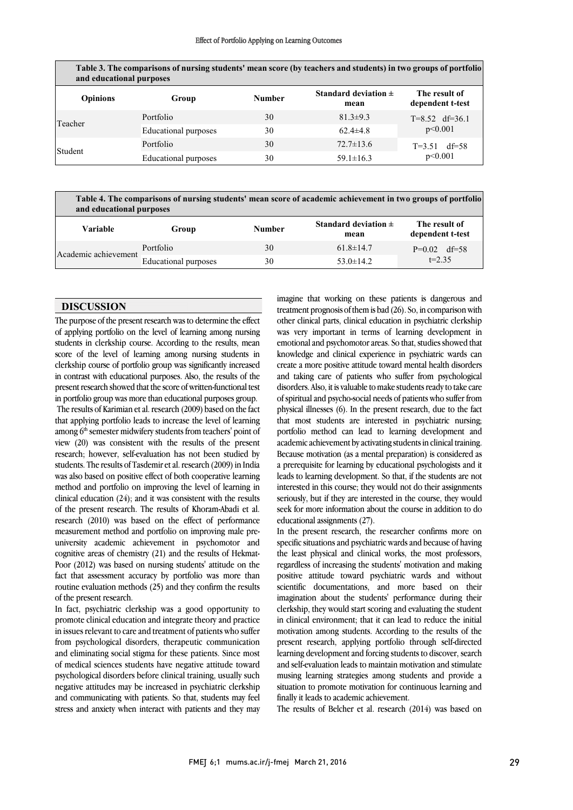| Table 3. The comparisons of nursing students' mean score (by teachers and students) in two groups of portfolio<br>and educational purposes |                      |               |                                  |                                   |  |  |
|--------------------------------------------------------------------------------------------------------------------------------------------|----------------------|---------------|----------------------------------|-----------------------------------|--|--|
| <b>Opinions</b>                                                                                                                            | Group                | <b>Number</b> | Standard deviation $\pm$<br>mean | The result of<br>dependent t-test |  |  |
| Teacher                                                                                                                                    | Portfolio            | 30            | $81.3 \pm 9.3$                   | $T=8.52$ df=36.1<br>p<0.001       |  |  |
|                                                                                                                                            | Educational purposes | 30            | $62.4 \pm 4.8$                   |                                   |  |  |
| Student                                                                                                                                    | Portfolio            | 30            | $72.7 \pm 13.6$                  | $T = 3.51$ df=58                  |  |  |
|                                                                                                                                            | Educational purposes | 30            | $59.1 \pm 16.3$                  | p<0.001                           |  |  |

 $\overline{a}$ j **Table 3. The comparisons of nursing students' mean score (by teachers and students) in two groups of portfolio** 

 **Table 4. The comparisons of nursing students' mean score of academic achievement in two groups of portfolio and educational purposes**

| and caucational pulposes |                      |               |                                  |                                   |  |  |
|--------------------------|----------------------|---------------|----------------------------------|-----------------------------------|--|--|
| Variable                 | Group                | <b>Number</b> | Standard deviation $\pm$<br>mean | The result of<br>dependent t-test |  |  |
| Academic achievement     | Portfolio            | 30            | $61.8 \pm 14.7$                  | $P=0.02$ df=58<br>$t = 2.35$      |  |  |
|                          | Educational purposes | 30            | $53.0 \pm 14.2$                  |                                   |  |  |
|                          |                      |               |                                  |                                   |  |  |

 $\overline{a}$ 

j

#### **DISCUSSION**

 The purpose of the present research was to determine the effect of applying portfolio on the level of learning among nursing students in clerkship course. According to the results, mean score of the level of learning among nursing students in clerkship course of portfolio group was significantly increased present research showed that the score of written-functional test in portfolio group was more than educational purposes group. in contrast with educational purposes. Also, the results of the

 The results of Karimian et al. research (2009) based on the fact that applying portfolio leads to increase the level of learning view (20) was consistent with the results of the present research; however, self-evaluation has not been studied by students. The results of Tasdemir et al. research (2009) in India was also based on positive effect of both cooperative learning<br>mathed and newfolio an improving the level of learning in clinical education  $(24)$ ; and it was consistent with the results of the present research. The results of Khoram-Abadi et al. research (2010) was based on the effect of performance university academic achievement in psychomotor and cognitive areas of chemistry (21) and the results of Hekmat- Poor (2012) was based on nursing students' attitude on the fact that assessment accuracy by portfolio was more than routine evaluation methods (25) and they confirm the results<br>of the present research among 6<sup>th</sup> semester midwifery students from teachers' point of method and portfolio on improving the level of learning in measurement method and portfolio on improving male preof the present research.

 In fact, psychiatric clerkship was a good opportunity to promote clinical education and integrate theory and practice in issues relevant to care and treatment of patients who suffer and eliminating social stigma for these patients. Since most of medical sciences students have negative attitude toward psychological disorders before clinical training, usually such negative attitudes may be increased in psychiatric clerkship stress and anxiety when interact with patients and they may from psychological disorders, therapeutic communication and communicating with patients. So that, students may feel

 imagine that working on these patients is dangerous and treatment prognosis of them is bad (26). So, in comparison with was very important in terms of learning development in emotional and psychomotor areas. So that, studies showed that knowledge and clinical experience in psychiatric wards can create a more positive attitude toward mental health disorders disorders. Also, it is valuable to make students ready to take care of spiritual and psycho-social needs of patients who suffer from physical illnesses (6). In the present research, due to the fact that most students are interested in psychiatric nursing; academic achievement by activating students in clinical training. Because motivation (as a mental preparation) is considered as a prerequisite for learning by educational psychologists and it interested in this course; they would not do their assignments seriously, but if they are interested in the course, they would seek for more information about the course in addition to do other clinical parts, clinical education in psychiatric clerkship and taking care of patients who suffer from psychological portfolio method can lead to learning development and leads to learning development. So that, if the students are not educational assignments (27).

 $\overline{a}$ 

 specific situations and psychiatric wards and because of having the least physical and clinical works, the most professors, regardless of increasing the students' motivation and making positive attitude toward psychiatric wards and without imagination about the students' performance during their clerkship, they would start scoring and evaluating the student in clinical environment; that it can lead to reduce the initial motivation among students. According to the results of the learning development and forcing students to discover, search and self-evaluation leads to maintain motivation and stimulate musing learning strategies among students and provide a situation to promote motivation for continuous learning and In the present research, the researcher confirms more on scientific documentations, and more based on their present research, applying portfolio through self-directed finally it leads to academic achievement.

The results of Belcher et al. research (2014) was based on